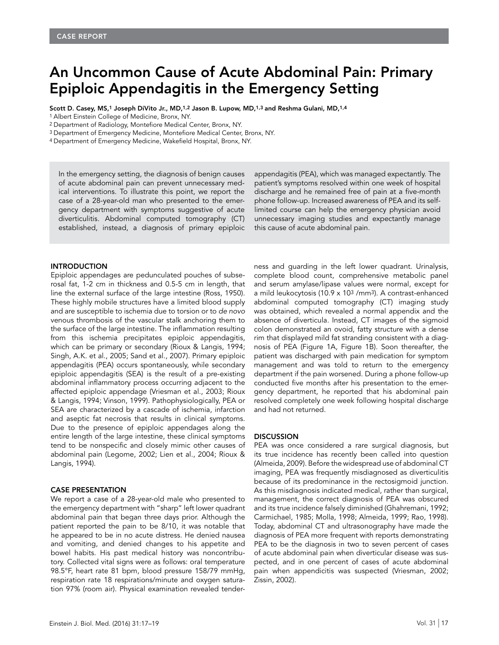## An Uncommon Cause of Acute Abdominal Pain: Primary Epiploic Appendagitis in the Emergency Setting

Scott D. Casey, MS,<sup>1</sup> Joseph DiVito Jr., MD,<sup>1,2</sup> Jason B. Lupow, MD,<sup>1,3</sup> and Reshma Gulani, MD,<sup>1,4</sup>

1 Albert Einstein College of Medicine, Bronx, NY.

2 Department of Radiology, Montefiore Medical Center, Bronx, NY.

3 Department of Emergency Medicine, Montefiore Medical Center, Bronx, NY.

4 Department of Emergency Medicine, Wakefield Hospital, Bronx, NY.

In the emergency setting, the diagnosis of benign causes of acute abdominal pain can prevent unnecessary medical interventions. To illustrate this point, we report the case of a 28-year-old man who presented to the emergency department with symptoms suggestive of acute diverticulitis. Abdominal computed tomography (CT) established, instead, a diagnosis of primary epiploic

INTRODUCTION

Epiploic appendages are pedunculated pouches of subserosal fat, 1-2 cm in thickness and 0.5-5 cm in length, that line the external surface of the large intestine (Ross, 1950). These highly mobile structures have a limited blood supply and are susceptible to ischemia due to torsion or to *de novo* venous thrombosis of the vascular stalk anchoring them to the surface of the large intestine. The inflammation resulting from this ischemia precipitates epiploic appendagitis, which can be primary or secondary (Rioux & Langis, 1994; Singh, A.K. et al., 2005; Sand et al., 2007). Primary epiploic appendagitis (PEA) occurs spontaneously, while secondary epiploic appendagitis (SEA) is the result of a pre-existing abdominal inflammatory process occurring adjacent to the affected epiploic appendage (Vriesman et al., 2003; Rioux & Langis, 1994; Vinson, 1999). Pathophysiologically, PEA or SEA are characterized by a cascade of ischemia, infarction and aseptic fat necrosis that results in clinical symptoms. Due to the presence of epiploic appendages along the entire length of the large intestine, these clinical symptoms tend to be nonspecific and closely mimic other causes of abdominal pain (Legome, 2002; Lien et al., 2004; Rioux & Langis, 1994).

## CASE PRESENTATION

We report a case of a 28-year-old male who presented to the emergency department with "sharp" left lower quadrant abdominal pain that began three days prior. Although the patient reported the pain to be 8/10, it was notable that he appeared to be in no acute distress. He denied nausea and vomiting, and denied changes to his appetite and bowel habits. His past medical history was noncontributory. Collected vital signs were as follows: oral temperature 98.5°F, heart rate 81 bpm, blood pressure 158/79 mmHg, respiration rate 18 respirations/minute and oxygen saturation 97% (room air). Physical examination revealed tenderappendagitis (PEA), which was managed expectantly. The patient's symptoms resolved within one week of hospital discharge and he remained free of pain at a five-month phone follow-up. Increased awareness of PEA and its selflimited course can help the emergency physician avoid unnecessary imaging studies and expectantly manage this cause of acute abdominal pain.

ness and guarding in the left lower quadrant. Urinalysis, complete blood count, comprehensive metabolic panel and serum amylase/lipase values were normal, except for a mild leukocytosis (10.9 x 103 /mm3). A contrast-enhanced abdominal computed tomography (CT) imaging study was obtained, which revealed a normal appendix and the absence of diverticula. Instead, CT images of the sigmoid colon demonstrated an ovoid, fatty structure with a dense rim that displayed mild fat stranding consistent with a diagnosis of PEA (Figure 1A, Figure 1B). Soon thereafter, the patient was discharged with pain medication for symptom management and was told to return to the emergency department if the pain worsened. During a phone follow-up conducted five months after his presentation to the emergency department, he reported that his abdominal pain resolved completely one week following hospital discharge and had not returned.

## **DISCUSSION**

PEA was once considered a rare surgical diagnosis, but its true incidence has recently been called into question (Almeida, 2009). Before the widespread use of abdominal CT imaging, PEA was frequently misdiagnosed as diverticulitis because of its predominance in the rectosigmoid junction. As this misdiagnosis indicated medical, rather than surgical, management, the correct diagnosis of PEA was obscured and its true incidence falsely diminished (Ghahremani, 1992; Carmichael, 1985; Molla, 1998; Almeida, 1999; Rao, 1998). Today, abdominal CT and ultrasonography have made the diagnosis of PEA more frequent with reports demonstrating PEA to be the diagnosis in two to seven percent of cases of acute abdominal pain when diverticular disease was suspected, and in one percent of cases of acute abdominal pain when appendicitis was suspected (Vriesman, 2002; Zissin, 2002).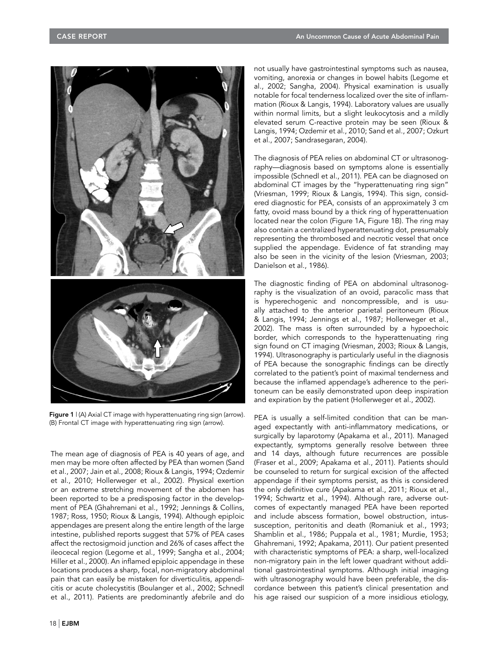

Figure 1 | (A) Axial CT image with hyperattenuating ring sign (arrow). (B) Frontal CT image with hyperattenuating ring sign (arrow).

The mean age of diagnosis of PEA is 40 years of age, and men may be more often affected by PEA than women (Sand et al., 2007; Jain et al., 2008; Rioux & Langis, 1994; Ozdemir et al., 2010; Hollerweger et al., 2002). Physical exertion or an extreme stretching movement of the abdomen has been reported to be a predisposing factor in the development of PEA (Ghahremani et al., 1992; Jennings & Collins, 1987; Ross, 1950; Rioux & Langis, 1994). Although epiploic appendages are present along the entire length of the large intestine, published reports suggest that 57% of PEA cases affect the rectosigmoid junction and 26% of cases affect the ileocecal region (Legome et al., 1999; Sangha et al., 2004; Hiller et al., 2000). An inflamed epiploic appendage in these locations produces a sharp, focal, non-migratory abdominal pain that can easily be mistaken for diverticulitis, appendicitis or acute cholecystitis (Boulanger et al., 2002; Schnedl et al., 2011). Patients are predominantly afebrile and do

not usually have gastrointestinal symptoms such as nausea, vomiting, anorexia or changes in bowel habits (Legome et al., 2002; Sangha, 2004). Physical examination is usually notable for focal tenderness localized over the site of inflammation (Rioux & Langis, 1994). Laboratory values are usually within normal limits, but a slight leukocytosis and a mildly elevated serum C-reactive protein may be seen (Rioux & Langis, 1994; Ozdemir et al., 2010; Sand et al., 2007; Ozkurt et al., 2007; Sandrasegaran, 2004).

The diagnosis of PEA relies on abdominal CT or ultrasonography—diagnosis based on symptoms alone is essentially impossible (Schnedl et al., 2011). PEA can be diagnosed on abdominal CT images by the "hyperattenuating ring sign" (Vriesman, 1999; Rioux & Langis, 1994). This sign, considered diagnostic for PEA, consists of an approximately 3 cm fatty, ovoid mass bound by a thick ring of hyperattenuation located near the colon (Figure 1A, Figure 1B). The ring may also contain a centralized hyperattenuating dot, presumably representing the thrombosed and necrotic vessel that once supplied the appendage. Evidence of fat stranding may also be seen in the vicinity of the lesion (Vriesman, 2003; Danielson et al., 1986).

The diagnostic finding of PEA on abdominal ultrasonography is the visualization of an ovoid, paracolic mass that is hyperechogenic and noncompressible, and is usually attached to the anterior parietal peritoneum (Rioux & Langis, 1994; Jennings et al., 1987; Hollerweger et al., 2002). The mass is often surrounded by a hypoechoic border, which corresponds to the hyperattenuating ring sign found on CT imaging (Vriesman, 2003; Rioux & Langis, 1994). Ultrasonography is particularly useful in the diagnosis of PEA because the sonographic findings can be directly correlated to the patient's point of maximal tenderness and because the inflamed appendage's adherence to the peritoneum can be easily demonstrated upon deep inspiration and expiration by the patient (Hollerweger et al., 2002).

PEA is usually a self-limited condition that can be managed expectantly with anti-inflammatory medications, or surgically by laparotomy (Apakama et al., 2011). Managed expectantly, symptoms generally resolve between three and 14 days, although future recurrences are possible (Fraser et al., 2009; Apakama et al., 2011). Patients should be counseled to return for surgical excision of the affected appendage if their symptoms persist, as this is considered the only definitive cure (Apakama et al., 2011; Rioux et al., 1994; Schwartz et al., 1994). Although rare, adverse outcomes of expectantly managed PEA have been reported and include abscess formation, bowel obstruction, intussusception, peritonitis and death (Romaniuk et al., 1993; Shamblin et al., 1986; Puppala et al., 1981; Murdie, 1953; Ghahremani, 1992; Apakama, 2011). Our patient presented with characteristic symptoms of PEA: a sharp, well-localized non-migratory pain in the left lower quadrant without additional gastrointestinal symptoms. Although initial imaging with ultrasonography would have been preferable, the discordance between this patient's clinical presentation and his age raised our suspicion of a more insidious etiology,